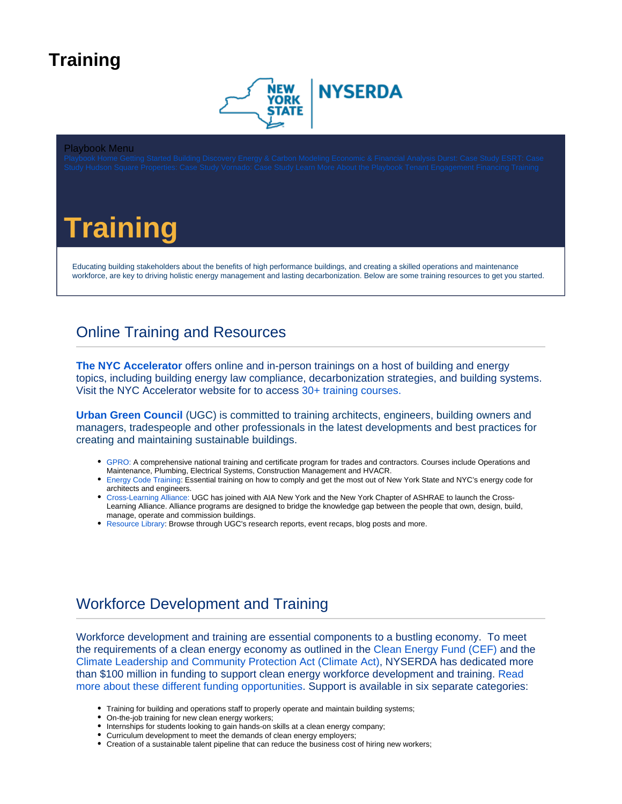## <span id="page-0-0"></span>**Training**



#### Playbook Menu

# **Training**

Educating building stakeholders about the benefits of high performance buildings, and creating a skilled operations and maintenance workforce, are key to driving holistic energy management and lasting decarbonization. Below are some training resources to get you started.

### Online Training and Resources

**[The NYC Accelerator](https://accelerator.nyc/)** offers online and in-person trainings on a host of building and energy topics, including building energy law compliance, decarbonization strategies, and building systems. Visit the NYC Accelerator website for to access [30+ training courses.](https://accelerator.nyc/trainings)

**[Urban Green Council](https://www.urbangreencouncil.org/content/education)** (UGC) is committed to training architects, engineers, building owners and managers, tradespeople and other professionals in the latest developments and best practices for creating and maintaining sustainable buildings.

- [GPRO:](https://www.urbangreencouncil.org/content/community/gpro) A comprehensive national training and certificate program for trades and contractors. Courses include Operations and Maintenance, Plumbing, Electrical Systems, Construction Management and HVACR.
- [Energy Code Training:](https://www.urbangreencouncil.org/content/projects/energy-code-training-architects-and-engineers) Essential training on how to comply and get the most out of New York State and NYC's energy code for architects and engineers.
- [Cross-Learning Alliance:](https://www.urbangreencouncil.org/cross-learning-alliance) UGC has joined with AIA New York and the New York Chapter of ASHRAE to launch the Cross-Learning Alliance. Alliance programs are designed to bridge the knowledge gap between the people that own, design, build, manage, operate and commission buildings.
- [Resource Library](https://www.urbangreencouncil.org/library): Browse through UGC's research reports, event recaps, blog posts and more.

### Workforce Development and Training

Workforce development and training are essential components to a bustling economy. To meet the requirements of a clean energy economy as outlined in the [Clean Energy Fund \(CEF\)](https://www.nyserda.ny.gov/About/Funding/Clean-Energy-Fund) and the [Climate Leadership and Community Protection Act \(Climate Act\),](https://climate.ny.gov/) NYSERDA has dedicated more than \$100 million in funding to support clean energy workforce development and training. [Read](https://www.nyserda.ny.gov/all-programs/clean-energy-workforce-development)  [more about these different funding opportunities.](https://www.nyserda.ny.gov/all-programs/clean-energy-workforce-development) Support is available in six separate categories:

- Training for building and operations staff to properly operate and maintain building systems;
- On-the-job training for new clean energy workers;
- $\bullet$  Internships for students looking to gain hands-on skills at a clean energy company;
- Curriculum development to meet the demands of clean energy employers;
- Creation of a sustainable talent pipeline that can reduce the business cost of hiring new workers;